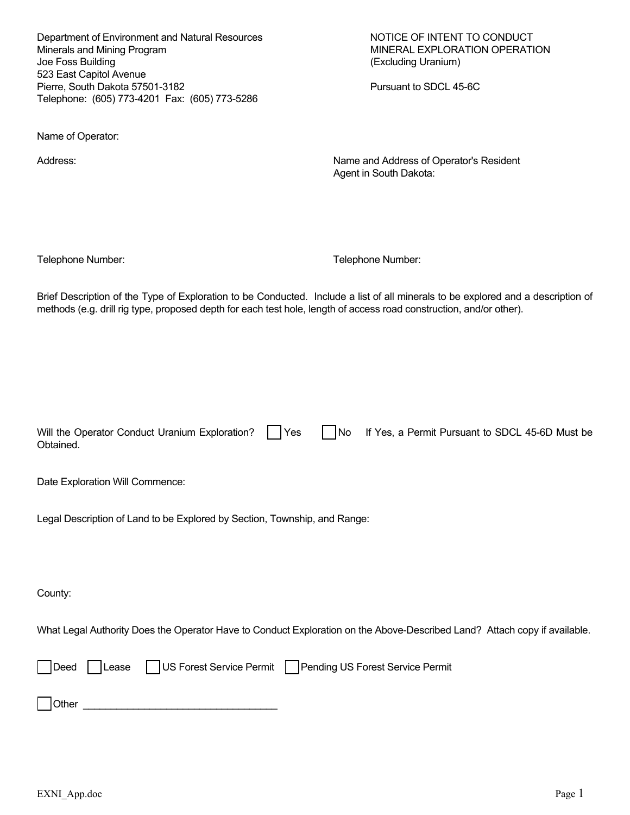Department of Environment and Natural Resources NOTICE OF INTENT TO CONDUCT Minerals and Mining Program MINERAL EXPLORATION OPERATION Joe Foss Building (Excluding Uranium) 523 East Capitol Avenue Pierre, South Dakota 57501-3182 Pursuant to SDCL 45-6C Telephone: (605) 773-4201 Fax: (605) 773-5286

Name of Operator:

Address: Name and Address of Operator's Resident Agent in South Dakota:

Telephone Number: Telephone Number:

Brief Description of the Type of Exploration to be Conducted. Include a list of all minerals to be explored and a description of methods (e.g. drill rig type, proposed depth for each test hole, length of access road construction, and/or other).

|           |  | Will the Operator Conduct Uranium Exploration? Thes Tho If Yes, a Permit Pursuant to SDCL 45-6D Must be |
|-----------|--|---------------------------------------------------------------------------------------------------------|
| Obtained. |  |                                                                                                         |

Date Exploration Will Commence:

Legal Description of Land to be Explored by Section, Township, and Range:

County:

What Legal Authority Does the Operator Have to Conduct Exploration on the Above-Described Land? Attach copy if available.

|              |  | Deed Lease US Forest Service Permit Pending US Forest Service Permit |
|--------------|--|----------------------------------------------------------------------|
| <b>Other</b> |  |                                                                      |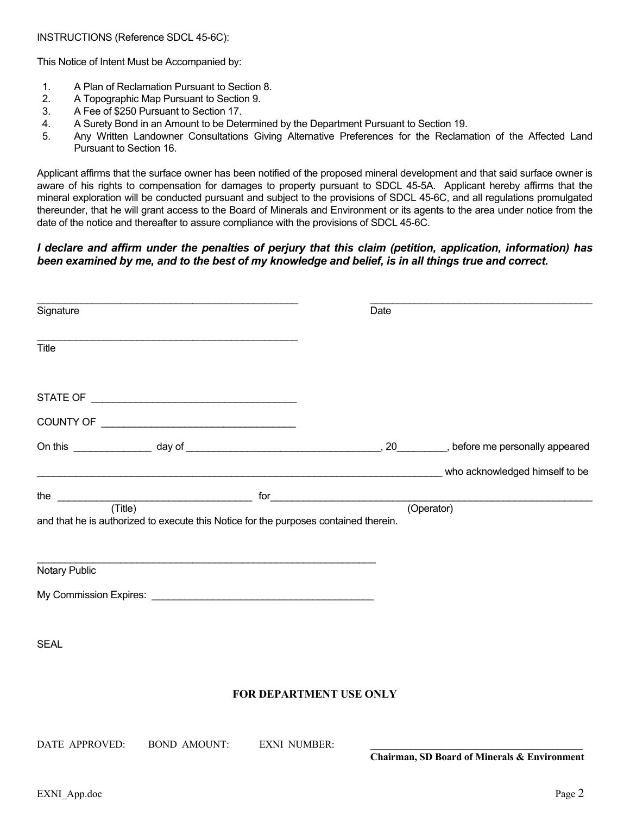This Notice of Intent Must be Accompanied by:

- 1. A Plan of Reclamation Pursuant to Section 8.
- 2. A Topographic Map Pursuant to Section 9.
- 3. A Fee of \$250 Pursuant to Section 17.
- 4. A Surety Bond in an Amount to be Determined by the Department Pursuant to Section 19.
- 5. Any Written Landowner Consultations Giving Alternative Preferences for the Reclamation of the Affected Land Pursuant to Section 16.

Applicant affirms that the surface owner has been notified of the proposed mineral development and that said surface owner is aware of his rights to compensation for damages to property pursuant to SDCL 45-5A. Applicant hereby affirms that the mineral exploration will be conducted pursuant and subject to the provisions of SDCL 45-6C, and all regulations promulgated thereunder, that he will grant access to the Board of Minerals and Environment or its agents to the area under notice from the date of the notice and thereafter to assure compliance with the provisions of SDCL 45-6C.

## *I declare and affirm under the penalties of perjury that this claim (petition, application, information) has been examined by me, and to the best of my knowledge and belief, is in all things true and correct.*

| Signature               |                     |                                                                                      | Date |                                                                                                                     |
|-------------------------|---------------------|--------------------------------------------------------------------------------------|------|---------------------------------------------------------------------------------------------------------------------|
| <b>Title</b>            |                     |                                                                                      |      |                                                                                                                     |
|                         |                     |                                                                                      |      |                                                                                                                     |
|                         |                     |                                                                                      |      |                                                                                                                     |
|                         |                     |                                                                                      |      |                                                                                                                     |
|                         |                     |                                                                                      |      | <b>CONSESSION CONSESSION CONTROLS AND SERVICE CONSESSION CONSESSION CONSESSION CONSESSION CONSESSION CONSESSION</b> |
| (Title)                 |                     | and that he is authorized to execute this Notice for the purposes contained therein. |      | (Operator)                                                                                                          |
| Notary Public           |                     |                                                                                      |      |                                                                                                                     |
|                         |                     |                                                                                      |      |                                                                                                                     |
| <b>SEAL</b>             |                     |                                                                                      |      |                                                                                                                     |
| FOR DEPARTMENT USE ONLY |                     |                                                                                      |      |                                                                                                                     |
| DATE APPROVED:          | <b>BOND AMOUNT:</b> | <b>EXNI NUMBER:</b>                                                                  |      |                                                                                                                     |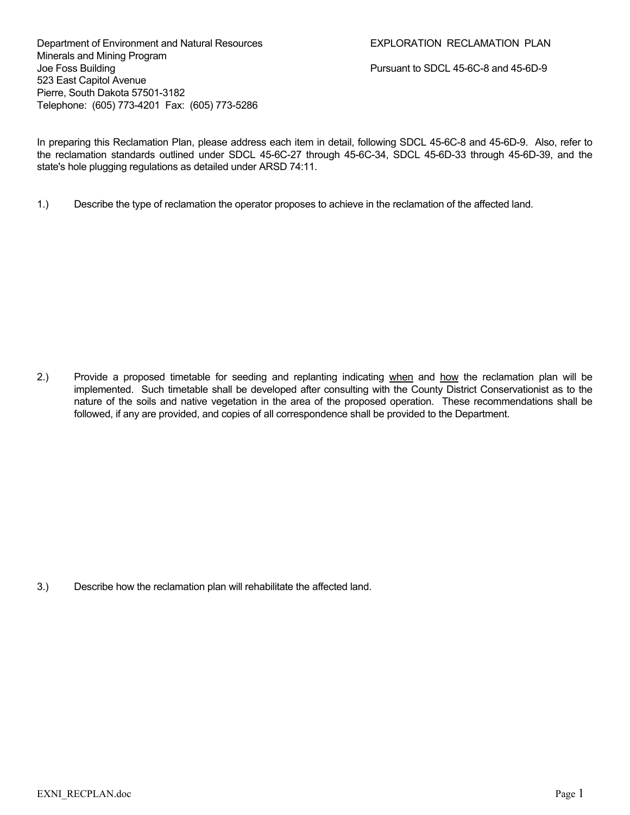Department of Environment and Natural Resources **EXPLORATION RECLAMATION PLAN** Minerals and Mining Program Joe Foss Building Pursuant to SDCL 45-6C-8 and 45-6D-9 523 East Capitol Avenue Pierre, South Dakota 57501-3182 Telephone: (605) 773-4201 Fax: (605) 773-5286

In preparing this Reclamation Plan, please address each item in detail, following SDCL 45-6C-8 and 45-6D-9. Also, refer to the reclamation standards outlined under SDCL 45-6C-27 through 45-6C-34, SDCL 45-6D-33 through 45-6D-39, and the state's hole plugging regulations as detailed under ARSD 74:11.

1.) Describe the type of reclamation the operator proposes to achieve in the reclamation of the affected land.

2.) Provide a proposed timetable for seeding and replanting indicating when and how the reclamation plan will be implemented. Such timetable shall be developed after consulting with the County District Conservationist as to the nature of the soils and native vegetation in the area of the proposed operation. These recommendations shall be followed, if any are provided, and copies of all correspondence shall be provided to the Department.

3.) Describe how the reclamation plan will rehabilitate the affected land.